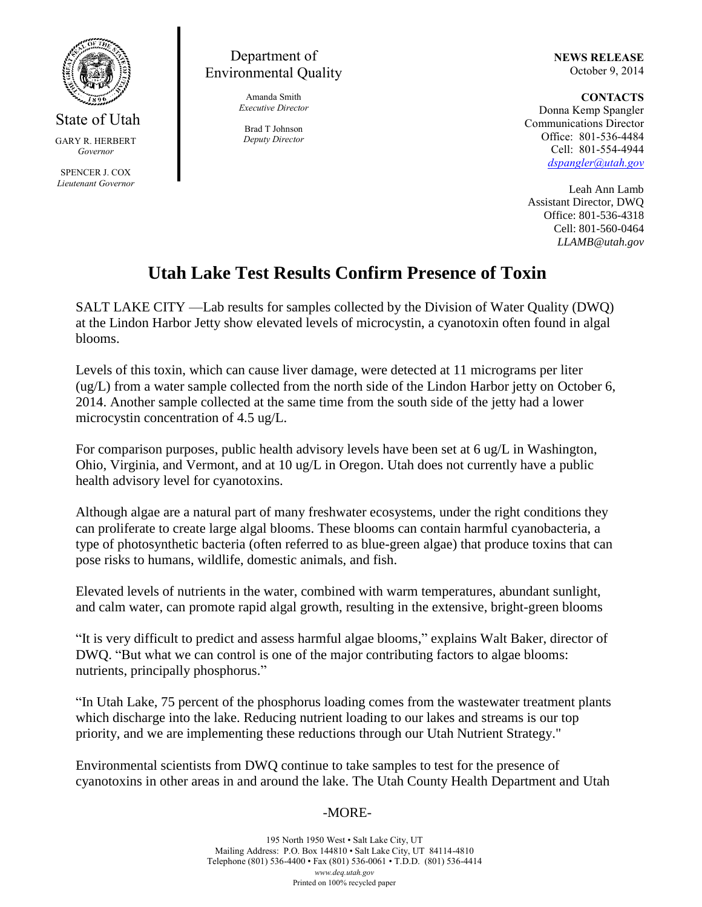

State of Utah GARY R. HERBERT *Governor* SPENCER J. COX *Lieutenant Governor*

## Department of Environmental Quality

Amanda Smith *Executive Director*

Brad T Johnson *Deputy Director* **NEWS RELEASE** October 9, 2014

**CONTACTS** Donna Kemp Spangler Communications Director Office: 801-536-4484 Cell: 801-554-4944 *dspangler@utah.gov*

Leah Ann Lamb Assistant Director, DWQ Office: 801-536-4318 Cell: 801-560-0464 *LLAMB@utah.gov*

## **Utah Lake Test Results Confirm Presence of Toxin**

SALT LAKE CITY —Lab results for samples collected by the Division of Water Quality (DWQ) at the Lindon Harbor Jetty show elevated levels of microcystin, a cyanotoxin often found in algal blooms.

Levels of this toxin, which can cause liver damage, were detected at 11 micrograms per liter (ug/L) from a water sample collected from the north side of the Lindon Harbor jetty on October 6, 2014. Another sample collected at the same time from the south side of the jetty had a lower microcystin concentration of 4.5 ug/L.

For comparison purposes, public health advisory levels have been set at 6 ug/L in Washington, Ohio, Virginia, and Vermont, and at 10 ug/L in Oregon. Utah does not currently have a public health advisory level for cyanotoxins.

Although algae are a natural part of many freshwater ecosystems, under the right conditions they can proliferate to create large algal blooms. These blooms can contain harmful cyanobacteria, a type of photosynthetic bacteria (often referred to as blue-green algae) that produce toxins that can pose risks to humans, wildlife, domestic animals, and fish.

Elevated levels of nutrients in the water, combined with warm temperatures, abundant sunlight, and calm water, can promote rapid algal growth, resulting in the extensive, bright-green blooms

"It is very difficult to predict and assess harmful algae blooms," explains Walt Baker, director of DWQ. "But what we can control is one of the major contributing factors to algae blooms: nutrients, principally phosphorus."

"In Utah Lake, 75 percent of the phosphorus loading comes from the wastewater treatment plants which discharge into the lake. Reducing nutrient loading to our lakes and streams is our top priority, and we are implementing these reductions through our Utah Nutrient Strategy."

Environmental scientists from DWQ continue to take samples to test for the presence of cyanotoxins in other areas in and around the lake. The Utah County Health Department and Utah

## -MORE-

195 North 1950 West • Salt Lake City, UT Mailing Address: P.O. Box 144810 • Salt Lake City, UT 84114-4810 Telephone (801) 536-4400 • Fax (801) 536-0061 • T.D.D. (801) 536-4414 *www.deq.utah.gov* Printed on 100% recycled paper